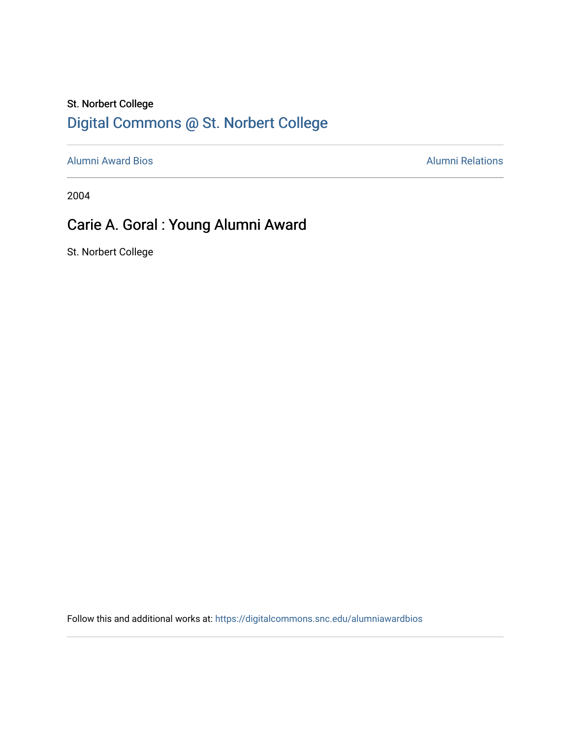## St. Norbert College [Digital Commons @ St. Norbert College](https://digitalcommons.snc.edu/)

[Alumni Award Bios](https://digitalcommons.snc.edu/alumniawardbios) **Alumni Relations** Alumni Relations

2004

## Carie A. Goral : Young Alumni Award

St. Norbert College

Follow this and additional works at: [https://digitalcommons.snc.edu/alumniawardbios](https://digitalcommons.snc.edu/alumniawardbios?utm_source=digitalcommons.snc.edu%2Falumniawardbios%2F3&utm_medium=PDF&utm_campaign=PDFCoverPages)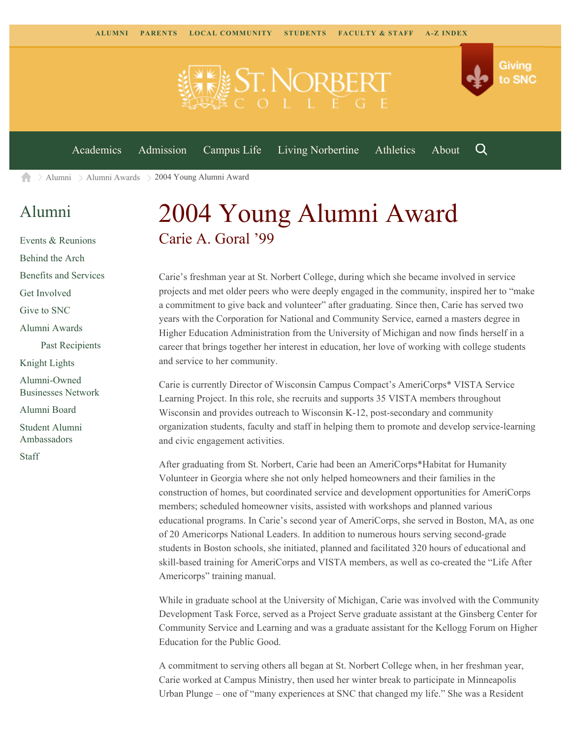

[Academics](https://www.snc.edu/academics) [Admission](https://www.snc.edu/admission) [Campus Life](https://www.snc.edu/campuslife) [Living Norbertine](https://www.snc.edu/livingnorbertine) [Athletics](https://www.snc.edu/athletics) [About](https://www.snc.edu/about)

Q

Giving

to SNC

[Alumni](https://www.snc.edu/alumni/) [Alumni Awards](https://www.snc.edu/alumni/awards/) 2004 Young Alumni Award A

## [Alumni](https://www.snc.edu/alumni/index.html)

[Events & Reunions](https://www.snc.edu/alumni/event/index.html) [Behind the Arch](https://www.snc.edu/alumni/event/behindthearch/) [Benefits and Services](https://www.snc.edu/alumni/benefits.html) [Get Involved](https://www.snc.edu/alumni/getinvolved.html) [Give to SNC](http://giving.snc.edu/) [Alumni Awards](https://www.snc.edu/alumni/awards/index.html) [Past Recipients](https://www.snc.edu/alumni/awards/recipients.html) [Knight Lights](https://www.snc.edu/alumni/knightlights/index.html) [Alumni-Owned](https://www.snc.edu/alumni/directory/index.html) [Businesses Network](https://www.snc.edu/alumni/directory/index.html) [Alumni Board](https://www.snc.edu/alumni/alumniboard.html) [Student Alumni](https://www.snc.edu/alumni/saa.html) [Ambassadors](https://www.snc.edu/alumni/saa.html) [Staff](https://www.snc.edu/alumni/contactus.html)

## 2004 Young Alumni Award Carie A. Goral '99

Carie's freshman year at St. Norbert College, during which she became involved in service projects and met older peers who were deeply engaged in the community, inspired her to "make a commitment to give back and volunteer" after graduating. Since then, Carie has served two years with the Corporation for National and Community Service, earned a masters degree in Higher Education Administration from the University of Michigan and now finds herself in a career that brings together her interest in education, her love of working with college students and service to her community.

Carie is currently Director of Wisconsin Campus Compact's AmeriCorps\* VISTA Service Learning Project. In this role, she recruits and supports 35 VISTA members throughout Wisconsin and provides outreach to Wisconsin K-12, post-secondary and community organization students, faculty and staff in helping them to promote and develop service-learning and civic engagement activities.

After graduating from St. Norbert, Carie had been an AmeriCorps\*Habitat for Humanity Volunteer in Georgia where she not only helped homeowners and their families in the construction of homes, but coordinated service and development opportunities for AmeriCorps members; scheduled homeowner visits, assisted with workshops and planned various educational programs. In Carie's second year of AmeriCorps, she served in Boston, MA, as one of 20 Americorps National Leaders. In addition to numerous hours serving second-grade students in Boston schools, she initiated, planned and facilitated 320 hours of educational and skill-based training for AmeriCorps and VISTA members, as well as co-created the "Life After Americorps" training manual.

While in graduate school at the University of Michigan, Carie was involved with the Community Development Task Force, served as a Project Serve graduate assistant at the Ginsberg Center for Community Service and Learning and was a graduate assistant for the Kellogg Forum on Higher Education for the Public Good.

A commitment to serving others all began at St. Norbert College when, in her freshman year, Carie worked at Campus Ministry, then used her winter break to participate in Minneapolis Urban Plunge – one of "many experiences at SNC that changed my life." She was a Resident